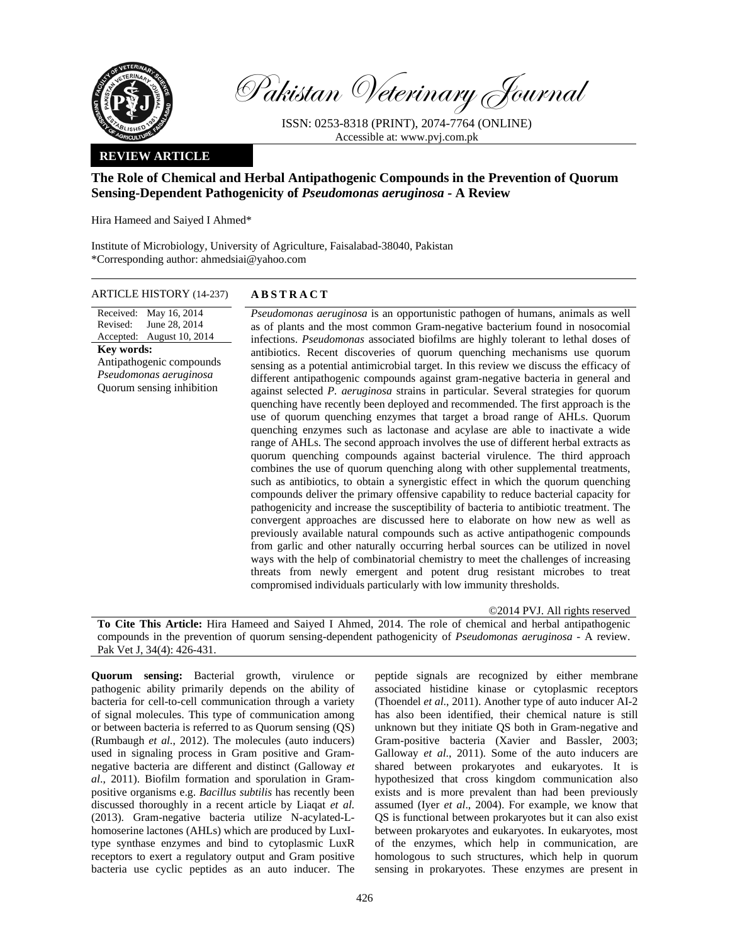

Pakistan Veterinary Journal

ISSN: 0253-8318 (PRINT), 2074-7764 (ONLINE) Accessible at: www.pvj.com.pk

### **REVIEW ARTICLE**

# **The Role of Chemical and Herbal Antipathogenic Compounds in the Prevention of Quorum Sensing-Dependent Pathogenicity of** *Pseudomonas aeruginosa -* **A Review**

Hira Hameed and Saiyed I Ahmed\*

Institute of Microbiology, University of Agriculture, Faisalabad-38040, Pakistan \*Corresponding author: ahmedsiai@yahoo.com

#### ARTICLE HISTORY (14-237) **ABSTRACT**

Received: May 16, 2014 Revised: Accepted: June 28, 2014 August 10, 2014 **Key words:**  Antipathogenic compounds *Pseudomonas aeruginosa*  Quorum sensing inhibition

*Pseudomonas aeruginosa* is an opportunistic pathogen of humans, animals as well as of plants and the most common Gram-negative bacterium found in nosocomial infections. *Pseudomonas* associated biofilms are highly tolerant to lethal doses of antibiotics. Recent discoveries of quorum quenching mechanisms use quorum sensing as a potential antimicrobial target. In this review we discuss the efficacy of different antipathogenic compounds against gram-negative bacteria in general and against selected *P. aeruginosa* strains in particular. Several strategies for quorum quenching have recently been deployed and recommended. The first approach is the use of quorum quenching enzymes that target a broad range of AHLs. Quorum quenching enzymes such as lactonase and acylase are able to inactivate a wide range of AHLs. The second approach involves the use of different herbal extracts as quorum quenching compounds against bacterial virulence. The third approach combines the use of quorum quenching along with other supplemental treatments, such as antibiotics, to obtain a synergistic effect in which the quorum quenching compounds deliver the primary offensive capability to reduce bacterial capacity for pathogenicity and increase the susceptibility of bacteria to antibiotic treatment. The convergent approaches are discussed here to elaborate on how new as well as previously available natural compounds such as active antipathogenic compounds from garlic and other naturally occurring herbal sources can be utilized in novel ways with the help of combinatorial chemistry to meet the challenges of increasing threats from newly emergent and potent drug resistant microbes to treat compromised individuals particularly with low immunity thresholds.

©2014 PVJ. All rights reserved

**To Cite This Article:** Hira Hameed and Saiyed I Ahmed, 2014. The role of chemical and herbal antipathogenic compounds in the prevention of quorum sensing-dependent pathogenicity of *Pseudomonas aeruginosa -* A review. Pak Vet J, 34(4): 426-431.

**Quorum sensing:** Bacterial growth, virulence or pathogenic ability primarily depends on the ability of bacteria for cell-to-cell communication through a variety of signal molecules. This type of communication among or between bacteria is referred to as Quorum sensing (QS) (Rumbaugh *et al.*, 2012). The molecules (auto inducers) used in signaling process in Gram positive and Gramnegative bacteria are different and distinct (Galloway *et al*., 2011). Biofilm formation and sporulation in Grampositive organisms e.g. *Bacillus subtilis* has recently been discussed thoroughly in a recent article by Liaqat *et al.* (2013). Gram-negative bacteria utilize N-acylated-Lhomoserine lactones (AHLs) which are produced by LuxItype synthase enzymes and bind to cytoplasmic LuxR receptors to exert a regulatory output and Gram positive bacteria use cyclic peptides as an auto inducer. The

peptide signals are recognized by either membrane associated histidine kinase or cytoplasmic receptors (Thoendel *et al*., 2011). Another type of auto inducer AI-2 has also been identified, their chemical nature is still unknown but they initiate QS both in Gram-negative and Gram-positive bacteria (Xavier and Bassler, 2003; Galloway *et al*., 2011). Some of the auto inducers are shared between prokaryotes and eukaryotes. It is hypothesized that cross kingdom communication also exists and is more prevalent than had been previously assumed (Iyer *et al*., 2004). For example, we know that QS is functional between prokaryotes but it can also exist between prokaryotes and eukaryotes. In eukaryotes, most of the enzymes, which help in communication, are homologous to such structures, which help in quorum sensing in prokaryotes. These enzymes are present in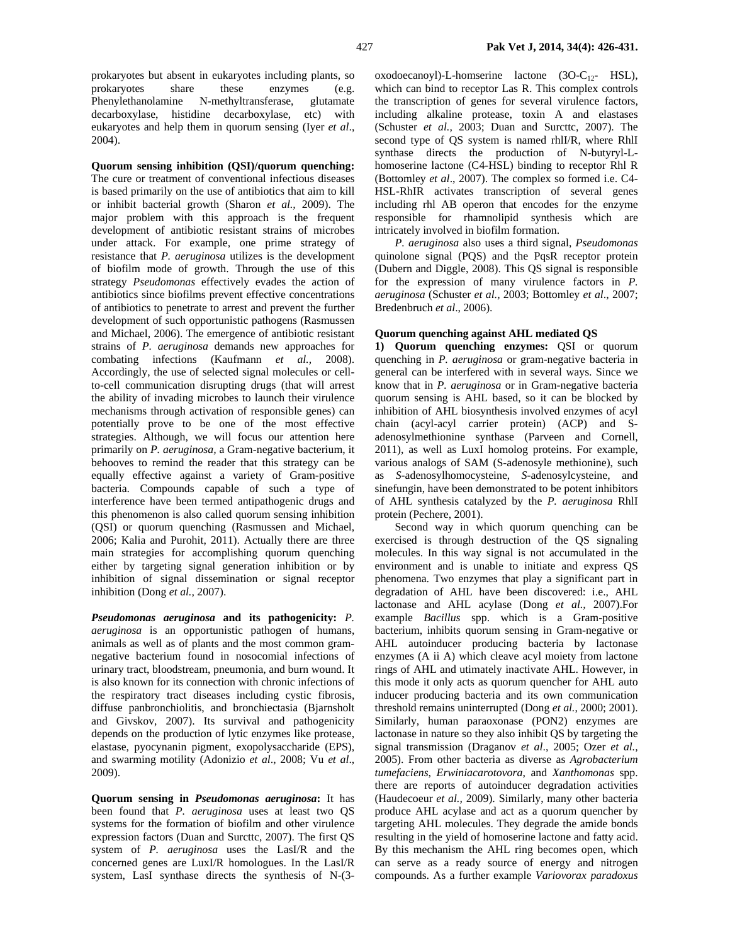prokaryotes but absent in eukaryotes including plants, so prokaryotes share these enzymes (e.g. Phenylethanolamine N-methyltransferase, glutamate decarboxylase, histidine decarboxylase, etc) with eukaryotes and help them in quorum sensing (Iyer *et al*., 2004).

**Quorum sensing inhibition (QSI)/quorum quenching:**  The cure or treatment of conventional infectious diseases is based primarily on the use of antibiotics that aim to kill or inhibit bacterial growth (Sharon *et al.,* 2009). The major problem with this approach is the frequent development of antibiotic resistant strains of microbes under attack. For example, one prime strategy of resistance that *P. aeruginosa* utilizes is the development of biofilm mode of growth. Through the use of this strategy *Pseudomonas* effectively evades the action of antibiotics since biofilms prevent effective concentrations of antibiotics to penetrate to arrest and prevent the further development of such opportunistic pathogens (Rasmussen and Michael, 2006). The emergence of antibiotic resistant strains of *P. aeruginosa* demands new approaches for combating infections (Kaufmann *et al.*, 2008). Accordingly, the use of selected signal molecules or cellto-cell communication disrupting drugs (that will arrest the ability of invading microbes to launch their virulence mechanisms through activation of responsible genes) can potentially prove to be one of the most effective strategies. Although, we will focus our attention here primarily on *P. aeruginosa,* a Gram-negative bacterium, it behooves to remind the reader that this strategy can be equally effective against a variety of Gram-positive bacteria. Compounds capable of such a type of interference have been termed antipathogenic drugs and this phenomenon is also called quorum sensing inhibition (QSI) or quorum quenching (Rasmussen and Michael, 2006; Kalia and Purohit, 2011). Actually there are three main strategies for accomplishing quorum quenching either by targeting signal generation inhibition or by inhibition of signal dissemination or signal receptor inhibition (Dong *et al.,* 2007).

*Pseudomonas aeruginosa* **and its pathogenicity:** *P. aeruginosa* is an opportunistic pathogen of humans, animals as well as of plants and the most common gramnegative bacterium found in nosocomial infections of urinary tract, bloodstream, pneumonia, and burn wound. It is also known for its connection with chronic infections of the respiratory tract diseases including cystic fibrosis, diffuse panbronchiolitis, and bronchiectasia (Bjarnsholt and Givskov, 2007). Its survival and pathogenicity depends on the production of lytic enzymes like protease, elastase, pyocynanin pigment, exopolysaccharide (EPS), and swarming motility (Adonizio *et al*., 2008; Vu *et al*., 2009).

**Quorum sensing in** *Pseudomonas aeruginosa***:** It has been found that *P. aeruginosa* uses at least two QS systems for the formation of biofilm and other virulence expression factors (Duan and Surcttc, 2007). The first QS system of *P. aeruginosa* uses the LasI/R and the concerned genes are LuxI/R homologues. In the LasI/R system, LasI synthase directs the synthesis of N-(3 $oxodoecanovl$ -L-homserine lactone  $(3O-C<sub>12</sub>-HSL)$ , which can bind to receptor Las R. This complex controls the transcription of genes for several virulence factors, including alkaline protease, toxin A and elastases (Schuster *et al.,* 2003; Duan and Surcttc, 2007). The second type of QS system is named rhlI/R, where RhlI synthase directs the production of N-butyryl-Lhomoserine lactone (C4-HSL) binding to receptor Rhl R (Bottomley *et al*., 2007). The complex so formed i.e. C4- HSL-RhIR activates transcription of several genes including rhl AB operon that encodes for the enzyme responsible for rhamnolipid synthesis which are intricately involved in biofilm formation.

*P. aeruginosa* also uses a third signal, *Pseudomonas* quinolone signal (PQS) and the PqsR receptor protein (Dubern and Diggle, 2008). This QS signal is responsible for the expression of many virulence factors in *P. aeruginosa* (Schuster *et al.,* 2003; Bottomley *et al*., 2007; Bredenbruch *et al*., 2006).

## **Quorum quenching against AHL mediated QS**

**1) Quorum quenching enzymes:** QSI or quorum quenching in *P. aeruginosa* or gram-negative bacteria in general can be interfered with in several ways. Since we know that in *P. aeruginosa* or in Gram-negative bacteria quorum sensing is AHL based, so it can be blocked by inhibition of AHL biosynthesis involved enzymes of acyl chain (acyl-acyl carrier protein) (ACP) and Sadenosylmethionine synthase (Parveen and Cornell, 2011), as well as LuxI homolog proteins. For example, various analogs of SAM (S-adenosyle methionine), such as *S*-adenosylhomocysteine, *S*-adenosylcysteine, and sinefungin, have been demonstrated to be potent inhibitors of AHL synthesis catalyzed by the *P. aeruginosa* RhlI protein (Pechere, 2001).

Second way in which quorum quenching can be exercised is through destruction of the QS signaling molecules. In this way signal is not accumulated in the environment and is unable to initiate and express QS phenomena. Two enzymes that play a significant part in degradation of AHL have been discovered: i.e., AHL lactonase and AHL acylase (Dong *et al.,* 2007).For example *Bacillus* spp. which is a Gram-positive bacterium, inhibits quorum sensing in Gram-negative or AHL autoinducer producing bacteria by lactonase enzymes (A ii A) which cleave acyl moiety from lactone rings of AHL and utimately inactivate AHL. However, in this mode it only acts as quorum quencher for AHL auto inducer producing bacteria and its own communication threshold remains uninterrupted (Dong *et al.*, 2000; 2001). Similarly, human paraoxonase (PON2) enzymes are lactonase in nature so they also inhibit QS by targeting the signal transmission (Draganov *et al*., 2005; Ozer *et al.,* 2005). From other bacteria as diverse as *Agrobacterium tumefaciens*, *Erwiniacarotovora*, and *Xanthomonas* spp. there are reports of autoinducer degradation activities (Haudecoeur *et al.,* 2009). Similarly, many other bacteria produce AHL acylase and act as a quorum quencher by targeting AHL molecules. They degrade the amide bonds resulting in the yield of homoserine lactone and fatty acid. By this mechanism the AHL ring becomes open, which can serve as a ready source of energy and nitrogen compounds. As a further example *Variovorax paradoxus*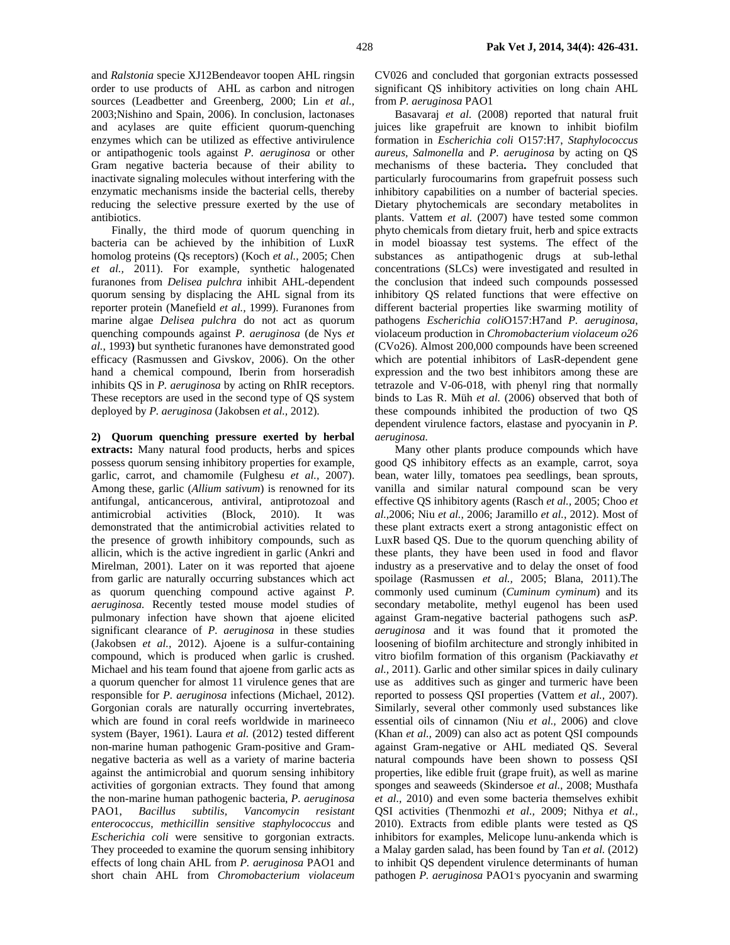and *Ralstonia* specie XJ12Bendeavor toopen AHL ringsin order to use products of AHL as carbon and nitrogen sources (Leadbetter and Greenberg, 2000; Lin *et al.,* 2003;Nishino and Spain, 2006). In conclusion, lactonases and acylases are quite efficient quorum-quenching enzymes which can be utilized as effective antivirulence or antipathogenic tools against *P. aeruginosa* or other Gram negative bacteria because of their ability to inactivate signaling molecules without interfering with the enzymatic mechanisms inside the bacterial cells, thereby reducing the selective pressure exerted by the use of antibiotics.

Finally, the third mode of quorum quenching in bacteria can be achieved by the inhibition of LuxR homolog proteins (Qs receptors) (Koch *et al.*, 2005; Chen *et al.,* 2011). For example, synthetic halogenated furanones from *Delisea pulchra* inhibit AHL-dependent quorum sensing by displacing the AHL signal from its reporter protein (Manefield *et al.,* 1999). Furanones from marine algae *Delisea pulchra* do not act as quorum quenching compounds against *P. aeruginosa* (de Nys *et al.*, 1993**)** but synthetic furanones have demonstrated good efficacy (Rasmussen and Givskov, 2006). On the other hand a chemical compound, Iberin from horseradish inhibits QS in *P. aeruginosa* by acting on RhIR receptors. These receptors are used in the second type of QS system deployed by *P. aeruginosa* (Jakobsen *et al.,* 2012).

**2) Quorum quenching pressure exerted by herbal extracts:** Many natural food products, herbs and spices possess quorum sensing inhibitory properties for example, garlic, carrot, and chamomile (Fulghesu *et al.,* 2007). Among these, garlic (*Allium sativum*) is renowned for its antifungal, anticancerous, antiviral, antiprotozoal and antimicrobial activities (Block, 2010). It was demonstrated that the antimicrobial activities related to the presence of growth inhibitory compounds, such as allicin, which is the active ingredient in garlic (Ankri and Mirelman, 2001). Later on it was reported that ajoene from garlic are naturally occurring substances which act as quorum quenching compound active against *P. aeruginosa.* Recently tested mouse model studies of pulmonary infection have shown that ajoene elicited significant clearance of *P. aeruginosa* in these studies (Jakobsen *et al.,* 2012). Ajoene is a sulfur-containing compound, which is produced when garlic is crushed. Michael and his team found that ajoene from garlic acts as a quorum quencher for almost 11 virulence genes that are responsible for *P. aeruginosa* infections (Michael, 2012). Gorgonian corals are naturally occurring invertebrates, which are found in coral reefs worldwide in marineeco system (Bayer, 1961). Laura *et al.* (2012) tested different non-marine human pathogenic Gram-positive and Gramnegative bacteria as well as a variety of marine bacteria against the antimicrobial and quorum sensing inhibitory activities of gorgonian extracts. They found that among the non-marine human pathogenic bacteria, *P. aeruginosa* PAO1, *Bacillus subtilis, Vancomycin resistant enterococcus, methicillin sensitive staphylococcus* and *Escherichia coli* were sensitive to gorgonian extracts. They proceeded to examine the quorum sensing inhibitory effects of long chain AHL from *P. aeruginosa* PAO1 and short chain AHL from *Chromobacterium violaceum* 

CV026 and concluded that gorgonian extracts possessed significant QS inhibitory activities on long chain AHL from *P. aeruginosa* PAO1

Basavaraj *et al*. (2008) reported that natural fruit juices like grapefruit are known to inhibit biofilm formation in *Escherichia coli* O157:H7, *Staphylococcus aureus, Salmonella* and *P. aeruginosa* by acting on QS mechanisms of these bacteria**.** They concluded that particularly furocoumarins from grapefruit possess such inhibitory capabilities on a number of bacterial species. Dietary phytochemicals are secondary metabolites in plants. Vattem *et al.* (2007) have tested some common phyto chemicals from dietary fruit, herb and spice extracts in model bioassay test systems. The effect of the substances as antipathogenic drugs at sub-lethal concentrations (SLCs) were investigated and resulted in the conclusion that indeed such compounds possessed inhibitory QS related functions that were effective on different bacterial properties like swarming motility of pathogens *Escherichia coli*O157:H7and *P. aeruginosa*, violaceum production in *Chromobacterium violaceum o26* (CVo26). Almost 200,000 compounds have been screened which are potential inhibitors of LasR-dependent gene expression and the two best inhibitors among these are tetrazole and V-06-018, with phenyl ring that normally binds to Las R. Müh *et al.* (2006) observed that both of these compounds inhibited the production of two QS dependent virulence factors, elastase and pyocyanin in *P. aeruginosa.*

Many other plants produce compounds which have good QS inhibitory effects as an example, carrot, soya bean, water lilly, tomatoes pea seedlings, bean sprouts, vanilla and similar natural compound scan be very effective QS inhibitory agents (Rasch *et al.,* 2005; Choo *et al.,*2006; Niu *et al.,* 2006; Jaramillo *et al.*, 2012). Most of these plant extracts exert a strong antagonistic effect on LuxR based QS. Due to the quorum quenching ability of these plants, they have been used in food and flavor industry as a preservative and to delay the onset of food spoilage (Rasmussen *et al.,* 2005; Blana, 2011).The commonly used cuminum (*Cuminum cyminum*) and its secondary metabolite, methyl eugenol has been used against Gram-negative bacterial pathogens such as*P. aeruginosa* and it was found that it promoted the loosening of biofilm architecture and strongly inhibited in vitro biofilm formation of this organism (Packiavathy *et al.,* 2011). Garlic and other similar spices in daily culinary use as additives such as ginger and turmeric have been reported to possess QSI properties (Vattem *et al.,* 2007). Similarly, several other commonly used substances like essential oils of cinnamon (Niu *et al.,* 2006) and clove (Khan *et al.,* 2009) can also act as potent QSI compounds against Gram-negative or AHL mediated QS. Several natural compounds have been shown to possess QSI properties, like edible fruit (grape fruit), as well as marine sponges and seaweeds (Skindersoe *et al.,* 2008; Musthafa *et al.,* 2010) and even some bacteria themselves exhibit QSI activities (Thenmozhi *et al.,* 2009; Nithya *et al.,* 2010). Extracts from edible plants were tested as QS inhibitors for examples, Melicope lunu-ankenda which is a Malay garden salad, has been found by Tan *et al.* (2012) to inhibit QS dependent virulence determinants of human pathogen P. aeruginosa PAO1's pyocyanin and swarming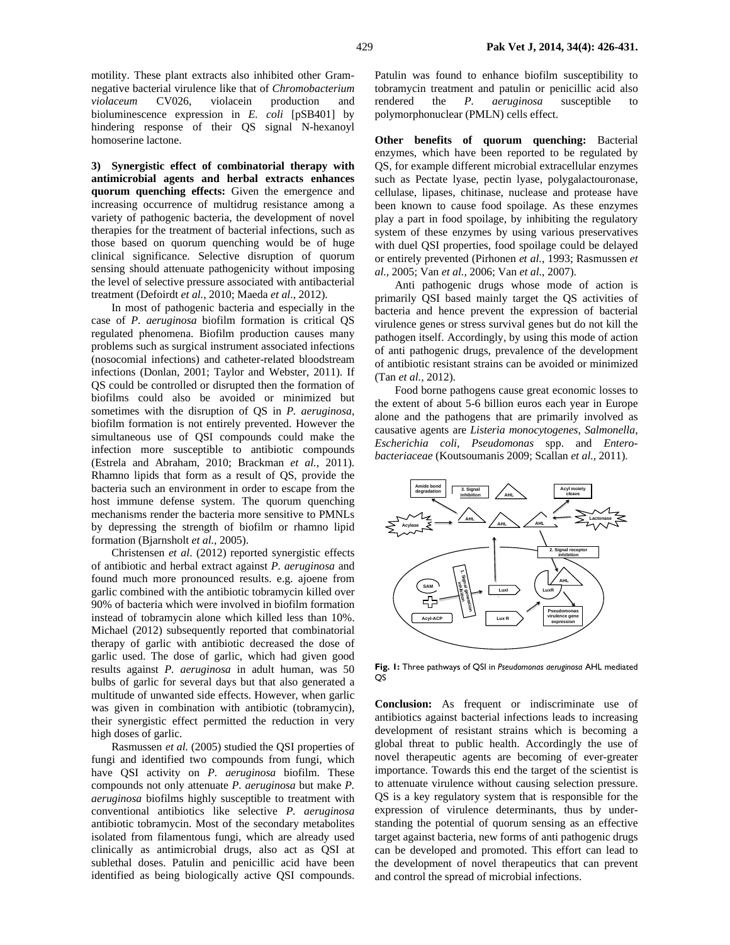motility. These plant extracts also inhibited other Gramnegative bacterial virulence like that of *Chromobacterium violaceum* CV026, violacein production and bioluminescence expression in *E. coli* [pSB401] by hindering response of their QS signal N-hexanoyl homoserine lactone.

**3) Synergistic effect of combinatorial therapy with antimicrobial agents and herbal extracts enhances quorum quenching effects:** Given the emergence and increasing occurrence of multidrug resistance among a variety of pathogenic bacteria, the development of novel therapies for the treatment of bacterial infections, such as those based on quorum quenching would be of huge clinical significance. Selective disruption of quorum sensing should attenuate pathogenicity without imposing the level of selective pressure associated with antibacterial treatment (Defoirdt *et al.*, 2010; Maeda *et al*., 2012).

In most of pathogenic bacteria and especially in the case of *P. aeruginosa* biofilm formation is critical QS regulated phenomena. Biofilm production causes many problems such as surgical instrument associated infections (nosocomial infections) and catheter-related bloodstream infections (Donlan, 2001; Taylor and Webster, 2011). If QS could be controlled or disrupted then the formation of biofilms could also be avoided or minimized but sometimes with the disruption of QS in *P. aeruginosa*, biofilm formation is not entirely prevented. However the simultaneous use of QSI compounds could make the infection more susceptible to antibiotic compounds (Estrela and Abraham, 2010; Brackman *et al.,* 2011). Rhamno lipids that form as a result of QS, provide the bacteria such an environment in order to escape from the host immune defense system. The quorum quenching mechanisms render the bacteria more sensitive to PMNLs by depressing the strength of biofilm or rhamno lipid formation (Bjarnsholt *et al.*, 2005).

Christensen *et al*. (2012) reported synergistic effects of antibiotic and herbal extract against *P. aeruginosa* and found much more pronounced results. e.g. ajoene from garlic combined with the antibiotic tobramycin killed over 90% of bacteria which were involved in biofilm formation instead of tobramycin alone which killed less than 10%. Michael (2012) subsequently reported that combinatorial therapy of garlic with antibiotic decreased the dose of garlic used. The dose of garlic, which had given good results against *P. aeruginosa* in adult human, was 50 bulbs of garlic for several days but that also generated a multitude of unwanted side effects. However, when garlic was given in combination with antibiotic (tobramycin), their synergistic effect permitted the reduction in very high doses of garlic.

Rasmussen *et al.* (2005) studied the QSI properties of fungi and identified two compounds from fungi, which have QSI activity on *P. aeruginosa* biofilm. These compounds not only attenuate *P. aeruginosa* but make *P. aeruginosa* biofilms highly susceptible to treatment with conventional antibiotics like selective *P. aeruginosa* antibiotic tobramycin. Most of the secondary metabolites isolated from filamentous fungi, which are already used clinically as antimicrobial drugs, also act as QSI at sublethal doses. Patulin and penicillic acid have been identified as being biologically active QSI compounds.

Patulin was found to enhance biofilm susceptibility to tobramycin treatment and patulin or penicillic acid also rendered the *P. aeruginosa* susceptible to polymorphonuclear (PMLN) cells effect.

**Other benefits of quorum quenching:** Bacterial enzymes, which have been reported to be regulated by QS, for example different microbial extracellular enzymes such as Pectate lyase, pectin lyase, polygalactouronase, cellulase, lipases, chitinase, nuclease and protease have been known to cause food spoilage. As these enzymes play a part in food spoilage, by inhibiting the regulatory system of these enzymes by using various preservatives with duel QSI properties, food spoilage could be delayed or entirely prevented (Pirhonen *et al.*, 1993; Rasmussen *et al.,* 2005; Van *et al.,* 2006; Van *et al.*, 2007).

Anti pathogenic drugs whose mode of action is primarily QSI based mainly target the QS activities of bacteria and hence prevent the expression of bacterial virulence genes or stress survival genes but do not kill the pathogen itself. Accordingly, by using this mode of action of anti pathogenic drugs, prevalence of the development of antibiotic resistant strains can be avoided or minimized (Tan *et al.,* 2012).

Food borne pathogens cause great economic losses to the extent of about 5-6 billion euros each year in Europe alone and the pathogens that are primarily involved as causative agents are *Listeria monocytogenes, Salmonella*, *Escherichia coli, Pseudomonas* spp. and *Enterobacteriaceae* (Koutsoumanis 2009; Scallan *et al.,* 2011).



**Fig. 1:** Three pathways of QSI in *Pseudomonas aeruginosa* AHL mediated **OS** 

**Conclusion:** As frequent or indiscriminate use of antibiotics against bacterial infections leads to increasing development of resistant strains which is becoming a global threat to public health. Accordingly the use of novel therapeutic agents are becoming of ever-greater importance. Towards this end the target of the scientist is to attenuate virulence without causing selection pressure. QS is a key regulatory system that is responsible for the expression of virulence determinants, thus by understanding the potential of quorum sensing as an effective target against bacteria, new forms of anti pathogenic drugs can be developed and promoted. This effort can lead to the development of novel therapeutics that can prevent and control the spread of microbial infections.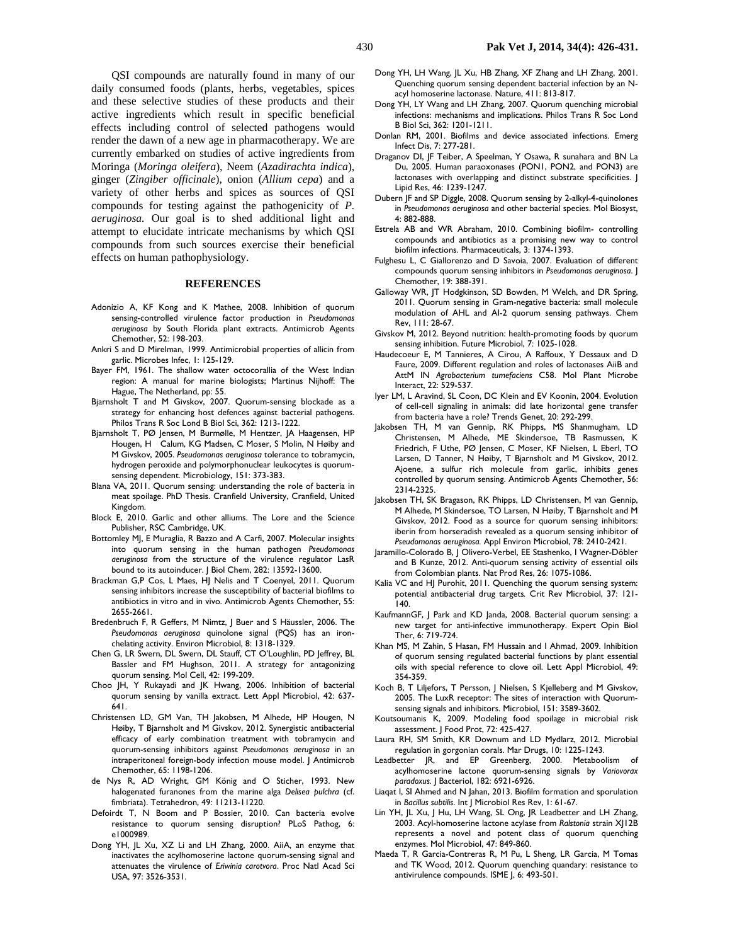QSI compounds are naturally found in many of our daily consumed foods (plants, herbs, vegetables, spices and these selective studies of these products and their active ingredients which result in specific beneficial effects including control of selected pathogens would render the dawn of a new age in pharmacotherapy. We are currently embarked on studies of active ingredients from Moringa (*Moringa oleifera*), Neem (*Azadirachta indica*), ginger (*Zingiber officinale*), onion (*Allium cepa*) and a variety of other herbs and spices as sources of QSI compounds for testing against the pathogenicity of *P. aeruginosa.* Our goal is to shed additional light and attempt to elucidate intricate mechanisms by which QSI compounds from such sources exercise their beneficial effects on human pathophysiology.

#### **REFERENCES**

- Adonizio A, KF Kong and K Mathee, 2008. Inhibition of quorum sensing-controlled virulence factor production in *Pseudomonas aeruginosa* by South Florida plant extracts. Antimicrob Agents Chemother, 52: 198-203.
- Ankri S and D Mirelman, 1999. Antimicrobial properties of allicin from garlic. Microbes Infec, 1: 125-129.
- Bayer FM, 1961. The shallow water octocorallia of the West Indian region: A manual for marine biologists; Martinus Nijhoff: The Hague, The Netherland, pp: 55.
- Bjarnsholt T and M Givskov, 2007. Quorum-sensing blockade as a strategy for enhancing host defences against bacterial pathogens. Philos Trans R Soc Lond B Biol Sci, 362: 1213-1222.
- Bjarnsholt T, PØ Jensen, M Burmølle, M Hentzer, JA Haagensen, HP Hougen, H Calum, KG Madsen, C Moser, S Molin, N Høiby and M Givskov, 2005. *Pseudomonas aeruginosa* tolerance to tobramycin, hydrogen peroxide and polymorphonuclear leukocytes is quorumsensing dependent. Microbiology, 151: 373-383.
- Blana VA, 2011. Quorum sensing: understanding the role of bacteria in meat spoilage. PhD Thesis. Cranfield University, Cranfield, United Kingdom.
- Block E, 2010. Garlic and other alliums. The Lore and the Science Publisher, RSC Cambridge, UK.
- Bottomley MJ, E Muraglia, R Bazzo and A Carfi, 2007. Molecular insights into quorum sensing in the human pathogen *Pseudomonas aeruginosa* from the structure of the virulence regulator LasR bound to its autoinducer. J Biol Chem, 282: 13592-13600.
- Brackman G,P Cos, L Maes, HJ Nelis and T Coenyel, 2011. Quorum sensing inhibitors increase the susceptibility of bacterial biofilms to antibiotics in vitro and in vivo. Antimicrob Agents Chemother, 55: 2655-2661.
- Bredenbruch F, R Geffers, M Nimtz, J Buer and S Häussler, 2006. The *Pseudomonas aeruginosa* quinolone signal (PQS) has an ironchelating activity. Environ Microbiol, 8: 1318-1329.
- Chen G, LR Swern, DL Swern, DL Stauff, CT O'Loughlin, PD Jeffrey, BL Bassler and FM Hughson, 2011. A strategy for antagonizing quorum sensing. Mol Cell, 42: 199-209.
- Choo JH, Y Rukayadi and JK Hwang, 2006. Inhibition of bacterial quorum sensing by vanilla extract. Lett Appl Microbiol, 42: 637- 641.
- Christensen LD, GM Van, TH Jakobsen, M Alhede, HP Hougen, N Høiby, T Bjarnsholt and M Givskov, 2012. Synergistic antibacterial efficacy of early combination treatment with tobramycin and quorum-sensing inhibitors against *Pseudomonas aeruginosa* in an intraperitoneal foreign-body infection mouse model. J Antimicrob Chemother, 65: 1198-1206.
- de Nys R, AD Wright, GM König and O Sticher, 1993. New halogenated furanones from the marine alga *Delisea pulchra* (cf. fimbriata). Tetrahedron, 49: 11213-11220.
- Defoirdt T, N Boom and P Bossier, 2010. Can bacteria evolve resistance to quorum sensing disruption? PLoS Pathog, 6: e1000989.
- Dong YH, JL Xu, XZ Li and LH Zhang, 2000. AiiA, an enzyme that inactivates the acylhomoserine lactone quorum-sensing signal and attenuates the virulence of *Eriwinia carotvora*. Proc Natl Acad Sci USA, 97: 3526-3531.
- Dong YH, LH Wang, JL Xu, HB Zhang, XF Zhang and LH Zhang, 2001. Quenching quorum sensing dependent bacterial infection by an Nacyl homoserine lactonase. Nature, 411: 813-817.
- Dong YH, LY Wang and LH Zhang, 2007. Quorum quenching microbial infections: mechanisms and implications. Philos Trans R Soc Lond B Biol Sci, 362: 1201-1211.
- Donlan RM, 2001. Biofilms and device associated infections. Emerg Infect Dis, 7: 277-281.
- Draganov DI, JF Teiber, A Speelman, Y Osawa, R sunahara and BN La Du, 2005. Human paraoxonases (PON1, PON2, and PON3) are lactonases with overlapping and distinct substrate specificities. J Lipid Res, 46: 1239-1247.
- Dubern JF and SP Diggle, 2008. Quorum sensing by 2-alkyl-4-quinolones in *Pseudomonas aeruginosa* and other bacterial species. Mol Biosyst, 4: 882-888.
- Estrela AB and WR Abraham, 2010. Combining biofilm- controlling compounds and antibiotics as a promising new way to control biofilm infections. Pharmaceuticals, 3: 1374-1393.
- Fulghesu L, C Giallorenzo and D Savoia, 2007. Evaluation of different compounds quorum sensing inhibitors in *Pseudomonas aeruginosa*. J Chemother, 19: 388-391.
- Galloway WR, JT Hodgkinson, SD Bowden, M Welch, and DR Spring, 2011. Quorum sensing in Gram-negative bacteria: small molecule modulation of AHL and AI-2 quorum sensing pathways. Chem Rev, 111: 28-67.
- Givskov M, 2012. Beyond nutrition: health-promoting foods by quorum sensing inhibition. Future Microbiol, 7: 1025-1028.
- Haudecoeur E, M Tannieres, A Cirou, A Raffoux, Y Dessaux and D Faure, 2009. Different regulation and roles of lactonases AiiB and AttM IN *Agrobacterium tumefaciens* C58. Mol Plant Microbe Interact, 22: 529-537.
- Iyer LM, L Aravind, SL Coon, DC Klein and EV Koonin, 2004. Evolution of cell-cell signaling in animals: did late horizontal gene transfer from bacteria have a role? Trends Genet, 20: 292-299.
- Jakobsen TH, M van Gennip, RK Phipps, MS Shanmugham, LD Christensen, M Alhede, ME Skindersoe, TB Rasmussen, K Friedrich, F Uthe, PØ Jensen, C Moser, KF Nielsen, L Eberl, TO Larsen, D Tanner, N Høiby, T Bjarnsholt and M Givskov, 2012. Ajoene, a sulfur rich molecule from garlic, inhibits genes controlled by quorum sensing. Antimicrob Agents Chemother, 56: 2314-2325.
- Jakobsen TH, SK Bragason, RK Phipps, LD Christensen, M van Gennip, M Alhede, M Skindersoe, TO Larsen, N Høiby, T Bjarnsholt and M Givskov, 2012. Food as a source for quorum sensing inhibitors: iberin from horseradish revealed as a quorum sensing inhibitor of *Pseudomonas aeruginosa.* Appl Environ Microbiol, 78: 2410-2421.
- Jaramillo-Colorado B, J Olivero-Verbel, EE Stashenko, I Wagner-Döbler and B Kunze, 2012. Anti-quorum sensing activity of essential oils from Colombian plants. Nat Prod Res, 26: 1075-1086.
- Kalia VC and HJ Purohit, 2011. Quenching the quorum sensing system: potential antibacterial drug targets*.* Crit Rev Microbiol, 37: 121- 140.
- KaufmannGF, J Park and KD Janda, 2008. Bacterial quorum sensing: a new target for anti-infective immunotherapy. Expert Opin Biol Ther, 6: 719-724.
- Khan MS, M Zahin, S Hasan, FM Hussain and I Ahmad, 2009. Inhibition of quorum sensing regulated bacterial functions by plant essential oils with special reference to clove oil. Lett Appl Microbiol, 49: 354-359.
- Koch B, T Liljefors, T Persson, J Nielsen, S Kjelleberg and M Givskov, 2005. The LuxR receptor: The sites of interaction with Quorumsensing signals and inhibitors. Microbiol, 151: 3589-3602.
- Koutsoumanis K, 2009. Modeling food spoilage in microbial risk assessment. J Food Prot, 72: 425-427.
- Laura RH, SM Smith, KR Downum and LD Mydlarz, 2012. Microbial regulation in gorgonian corals. Mar Drugs, 10: 1225-1243.
- Leadbetter JR, and EP Greenberg, 2000. Metaboolism of acylhomoserine lactone quorum-sensing signals by *Variovorax paradoxus.* J Bacteriol, 182: 6921-6926.
- Liaqat I, SI Ahmed and N Jahan, 2013. Biofilm formation and sporulation in *Bacillus subtilis*. Int J Microbiol Res Rev, 1: 61-67.
- Lin YH, JL Xu, J Hu, LH Wang, SL Ong, JR Leadbetter and LH Zhang, 2003. Acyl-homoserine lactone acylase from *Ralstonia* strain XJ12B represents a novel and potent class of quorum quenching enzymes. Mol Microbiol, 47: 849-860.
- Maeda T, R Garcia-Contreras R, M Pu, L Sheng, LR Garcia, M Tomas and TK Wood, 2012. Quorum quenching quandary: resistance to antivirulence compounds. ISME J, 6: 493-501.